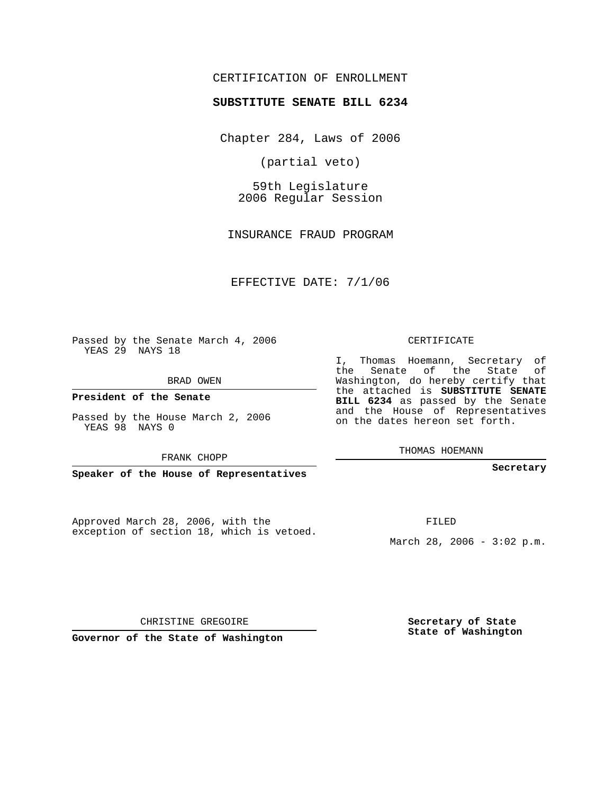## CERTIFICATION OF ENROLLMENT

## **SUBSTITUTE SENATE BILL 6234**

Chapter 284, Laws of 2006

(partial veto)

59th Legislature 2006 Regular Session

INSURANCE FRAUD PROGRAM

EFFECTIVE DATE: 7/1/06

Passed by the Senate March 4, 2006 YEAS 29 NAYS 18

BRAD OWEN

**President of the Senate**

Passed by the House March 2, 2006 YEAS 98 NAYS 0

FRANK CHOPP

**Speaker of the House of Representatives**

Approved March 28, 2006, with the exception of section 18, which is vetoed. CERTIFICATE

I, Thomas Hoemann, Secretary of the Senate of the State of Washington, do hereby certify that the attached is **SUBSTITUTE SENATE BILL 6234** as passed by the Senate and the House of Representatives on the dates hereon set forth.

THOMAS HOEMANN

**Secretary**

FILED

March 28, 2006 - 3:02 p.m.

**Secretary of State State of Washington**

CHRISTINE GREGOIRE

**Governor of the State of Washington**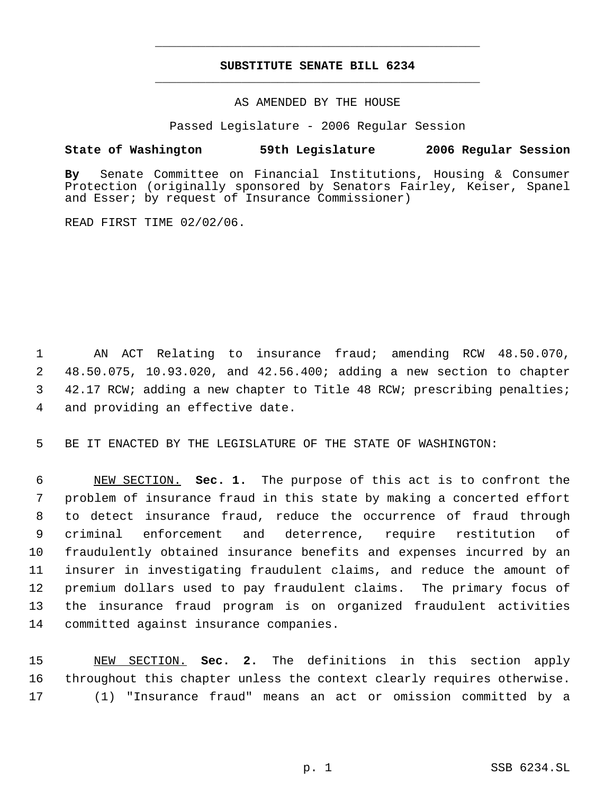## **SUBSTITUTE SENATE BILL 6234** \_\_\_\_\_\_\_\_\_\_\_\_\_\_\_\_\_\_\_\_\_\_\_\_\_\_\_\_\_\_\_\_\_\_\_\_\_\_\_\_\_\_\_\_\_

\_\_\_\_\_\_\_\_\_\_\_\_\_\_\_\_\_\_\_\_\_\_\_\_\_\_\_\_\_\_\_\_\_\_\_\_\_\_\_\_\_\_\_\_\_

AS AMENDED BY THE HOUSE

Passed Legislature - 2006 Regular Session

## **State of Washington 59th Legislature 2006 Regular Session**

**By** Senate Committee on Financial Institutions, Housing & Consumer Protection (originally sponsored by Senators Fairley, Keiser, Spanel and Esser; by request of Insurance Commissioner)

READ FIRST TIME 02/02/06.

 AN ACT Relating to insurance fraud; amending RCW 48.50.070, 48.50.075, 10.93.020, and 42.56.400; adding a new section to chapter 42.17 RCW; adding a new chapter to Title 48 RCW; prescribing penalties; and providing an effective date.

BE IT ENACTED BY THE LEGISLATURE OF THE STATE OF WASHINGTON:

 NEW SECTION. **Sec. 1.** The purpose of this act is to confront the problem of insurance fraud in this state by making a concerted effort to detect insurance fraud, reduce the occurrence of fraud through criminal enforcement and deterrence, require restitution of fraudulently obtained insurance benefits and expenses incurred by an insurer in investigating fraudulent claims, and reduce the amount of premium dollars used to pay fraudulent claims. The primary focus of the insurance fraud program is on organized fraudulent activities committed against insurance companies.

 NEW SECTION. **Sec. 2.** The definitions in this section apply throughout this chapter unless the context clearly requires otherwise. (1) "Insurance fraud" means an act or omission committed by a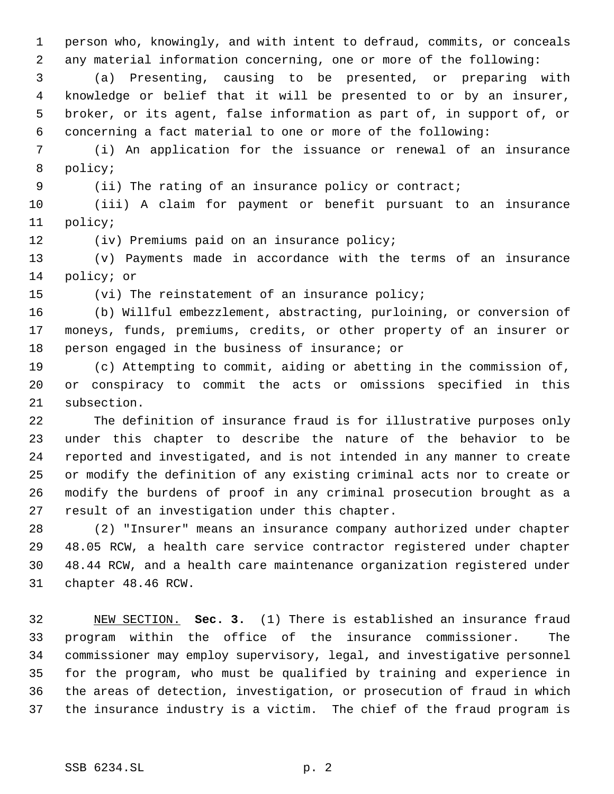person who, knowingly, and with intent to defraud, commits, or conceals any material information concerning, one or more of the following:

 (a) Presenting, causing to be presented, or preparing with knowledge or belief that it will be presented to or by an insurer, broker, or its agent, false information as part of, in support of, or concerning a fact material to one or more of the following:

 (i) An application for the issuance or renewal of an insurance policy;

(ii) The rating of an insurance policy or contract;

 (iii) A claim for payment or benefit pursuant to an insurance policy;

(iv) Premiums paid on an insurance policy;

 (v) Payments made in accordance with the terms of an insurance policy; or

(vi) The reinstatement of an insurance policy;

 (b) Willful embezzlement, abstracting, purloining, or conversion of moneys, funds, premiums, credits, or other property of an insurer or person engaged in the business of insurance; or

 (c) Attempting to commit, aiding or abetting in the commission of, or conspiracy to commit the acts or omissions specified in this subsection.

 The definition of insurance fraud is for illustrative purposes only under this chapter to describe the nature of the behavior to be reported and investigated, and is not intended in any manner to create or modify the definition of any existing criminal acts nor to create or modify the burdens of proof in any criminal prosecution brought as a result of an investigation under this chapter.

 (2) "Insurer" means an insurance company authorized under chapter 48.05 RCW, a health care service contractor registered under chapter 48.44 RCW, and a health care maintenance organization registered under chapter 48.46 RCW.

 NEW SECTION. **Sec. 3.** (1) There is established an insurance fraud program within the office of the insurance commissioner. The commissioner may employ supervisory, legal, and investigative personnel for the program, who must be qualified by training and experience in the areas of detection, investigation, or prosecution of fraud in which the insurance industry is a victim. The chief of the fraud program is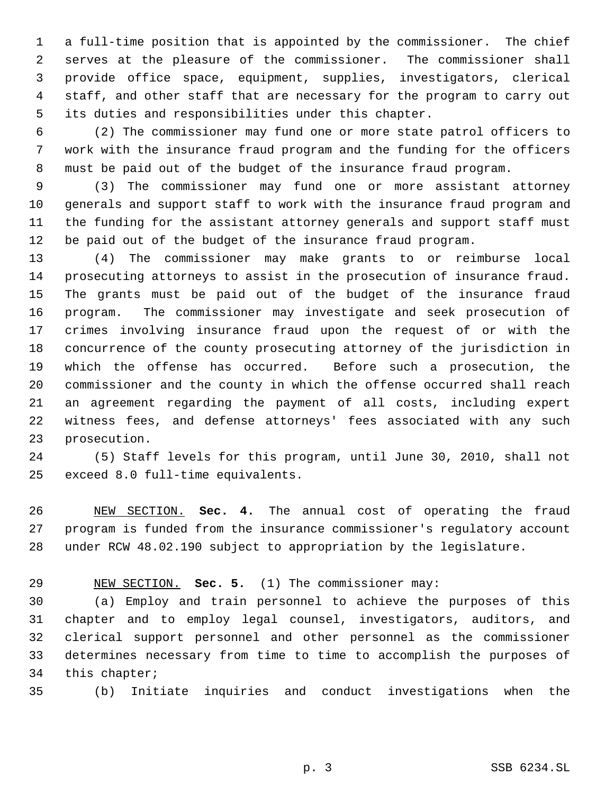a full-time position that is appointed by the commissioner. The chief serves at the pleasure of the commissioner. The commissioner shall provide office space, equipment, supplies, investigators, clerical staff, and other staff that are necessary for the program to carry out its duties and responsibilities under this chapter.

 (2) The commissioner may fund one or more state patrol officers to work with the insurance fraud program and the funding for the officers must be paid out of the budget of the insurance fraud program.

 (3) The commissioner may fund one or more assistant attorney generals and support staff to work with the insurance fraud program and the funding for the assistant attorney generals and support staff must be paid out of the budget of the insurance fraud program.

 (4) The commissioner may make grants to or reimburse local prosecuting attorneys to assist in the prosecution of insurance fraud. The grants must be paid out of the budget of the insurance fraud program. The commissioner may investigate and seek prosecution of crimes involving insurance fraud upon the request of or with the concurrence of the county prosecuting attorney of the jurisdiction in which the offense has occurred. Before such a prosecution, the commissioner and the county in which the offense occurred shall reach an agreement regarding the payment of all costs, including expert witness fees, and defense attorneys' fees associated with any such prosecution.

 (5) Staff levels for this program, until June 30, 2010, shall not exceed 8.0 full-time equivalents.

 NEW SECTION. **Sec. 4.** The annual cost of operating the fraud program is funded from the insurance commissioner's regulatory account under RCW 48.02.190 subject to appropriation by the legislature.

NEW SECTION. **Sec. 5.** (1) The commissioner may:

 (a) Employ and train personnel to achieve the purposes of this chapter and to employ legal counsel, investigators, auditors, and clerical support personnel and other personnel as the commissioner determines necessary from time to time to accomplish the purposes of this chapter;

(b) Initiate inquiries and conduct investigations when the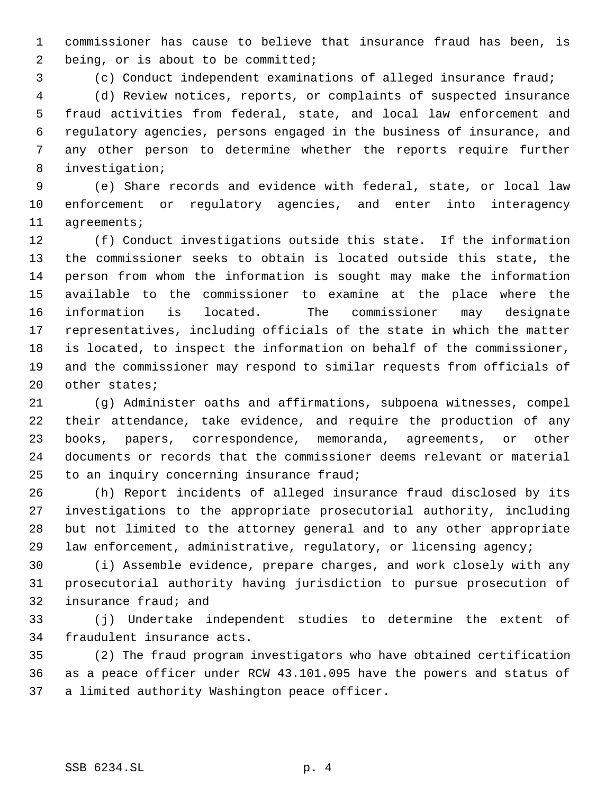commissioner has cause to believe that insurance fraud has been, is 2 being, or is about to be committed;

(c) Conduct independent examinations of alleged insurance fraud;

 (d) Review notices, reports, or complaints of suspected insurance fraud activities from federal, state, and local law enforcement and regulatory agencies, persons engaged in the business of insurance, and any other person to determine whether the reports require further investigation;

 (e) Share records and evidence with federal, state, or local law enforcement or regulatory agencies, and enter into interagency agreements;

 (f) Conduct investigations outside this state. If the information the commissioner seeks to obtain is located outside this state, the person from whom the information is sought may make the information available to the commissioner to examine at the place where the information is located. The commissioner may designate representatives, including officials of the state in which the matter is located, to inspect the information on behalf of the commissioner, and the commissioner may respond to similar requests from officials of other states;

 (g) Administer oaths and affirmations, subpoena witnesses, compel their attendance, take evidence, and require the production of any books, papers, correspondence, memoranda, agreements, or other documents or records that the commissioner deems relevant or material 25 to an inquiry concerning insurance fraud;

 (h) Report incidents of alleged insurance fraud disclosed by its investigations to the appropriate prosecutorial authority, including but not limited to the attorney general and to any other appropriate law enforcement, administrative, regulatory, or licensing agency;

 (i) Assemble evidence, prepare charges, and work closely with any prosecutorial authority having jurisdiction to pursue prosecution of insurance fraud; and

 (j) Undertake independent studies to determine the extent of fraudulent insurance acts.

 (2) The fraud program investigators who have obtained certification as a peace officer under RCW 43.101.095 have the powers and status of a limited authority Washington peace officer.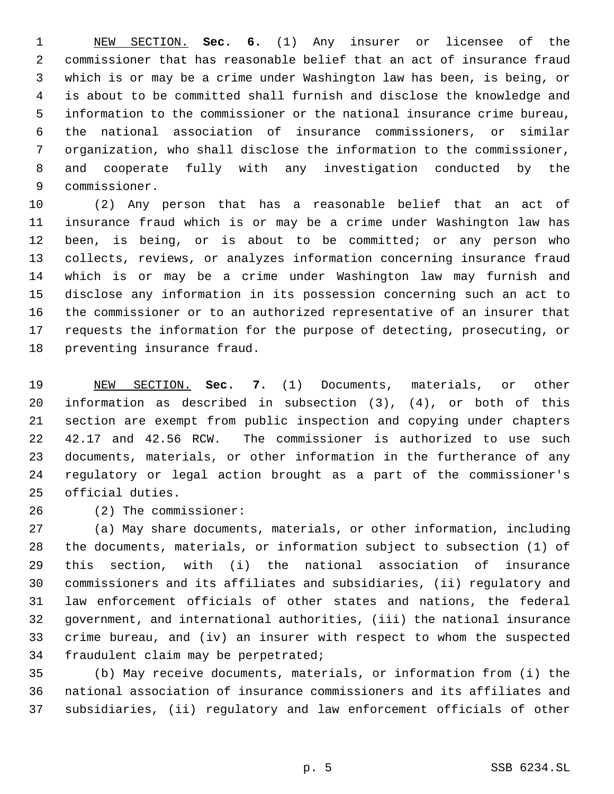NEW SECTION. **Sec. 6.** (1) Any insurer or licensee of the commissioner that has reasonable belief that an act of insurance fraud which is or may be a crime under Washington law has been, is being, or is about to be committed shall furnish and disclose the knowledge and information to the commissioner or the national insurance crime bureau, the national association of insurance commissioners, or similar organization, who shall disclose the information to the commissioner, and cooperate fully with any investigation conducted by the commissioner.

 (2) Any person that has a reasonable belief that an act of insurance fraud which is or may be a crime under Washington law has been, is being, or is about to be committed; or any person who collects, reviews, or analyzes information concerning insurance fraud which is or may be a crime under Washington law may furnish and disclose any information in its possession concerning such an act to the commissioner or to an authorized representative of an insurer that requests the information for the purpose of detecting, prosecuting, or preventing insurance fraud.

 NEW SECTION. **Sec. 7.** (1) Documents, materials, or other information as described in subsection (3), (4), or both of this section are exempt from public inspection and copying under chapters 42.17 and 42.56 RCW. The commissioner is authorized to use such documents, materials, or other information in the furtherance of any regulatory or legal action brought as a part of the commissioner's official duties.

(2) The commissioner:

 (a) May share documents, materials, or other information, including the documents, materials, or information subject to subsection (1) of this section, with (i) the national association of insurance commissioners and its affiliates and subsidiaries, (ii) regulatory and law enforcement officials of other states and nations, the federal government, and international authorities, (iii) the national insurance crime bureau, and (iv) an insurer with respect to whom the suspected fraudulent claim may be perpetrated;

 (b) May receive documents, materials, or information from (i) the national association of insurance commissioners and its affiliates and subsidiaries, (ii) regulatory and law enforcement officials of other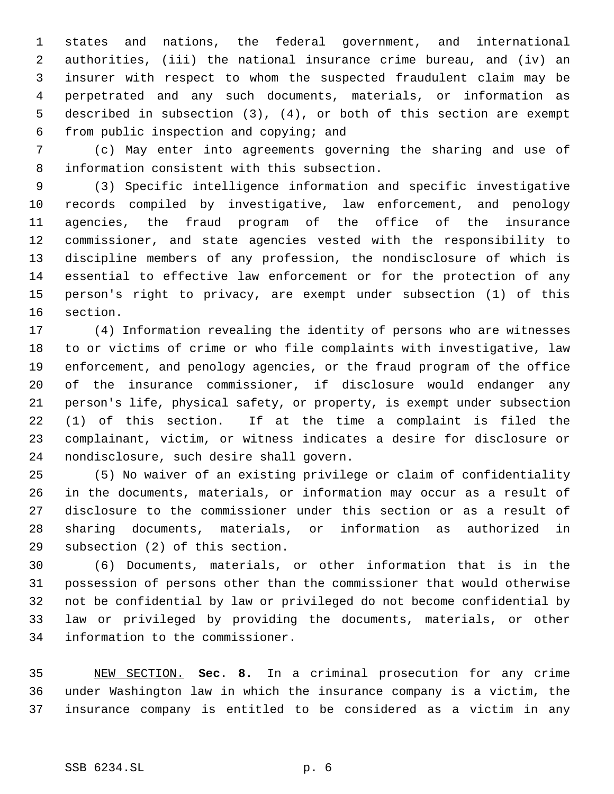states and nations, the federal government, and international authorities, (iii) the national insurance crime bureau, and (iv) an insurer with respect to whom the suspected fraudulent claim may be perpetrated and any such documents, materials, or information as described in subsection (3), (4), or both of this section are exempt from public inspection and copying; and

 (c) May enter into agreements governing the sharing and use of information consistent with this subsection.

 (3) Specific intelligence information and specific investigative records compiled by investigative, law enforcement, and penology agencies, the fraud program of the office of the insurance commissioner, and state agencies vested with the responsibility to discipline members of any profession, the nondisclosure of which is essential to effective law enforcement or for the protection of any person's right to privacy, are exempt under subsection (1) of this section.

 (4) Information revealing the identity of persons who are witnesses to or victims of crime or who file complaints with investigative, law enforcement, and penology agencies, or the fraud program of the office of the insurance commissioner, if disclosure would endanger any person's life, physical safety, or property, is exempt under subsection (1) of this section. If at the time a complaint is filed the complainant, victim, or witness indicates a desire for disclosure or nondisclosure, such desire shall govern.

 (5) No waiver of an existing privilege or claim of confidentiality in the documents, materials, or information may occur as a result of disclosure to the commissioner under this section or as a result of sharing documents, materials, or information as authorized in subsection (2) of this section.

 (6) Documents, materials, or other information that is in the possession of persons other than the commissioner that would otherwise not be confidential by law or privileged do not become confidential by law or privileged by providing the documents, materials, or other information to the commissioner.

 NEW SECTION. **Sec. 8.** In a criminal prosecution for any crime under Washington law in which the insurance company is a victim, the insurance company is entitled to be considered as a victim in any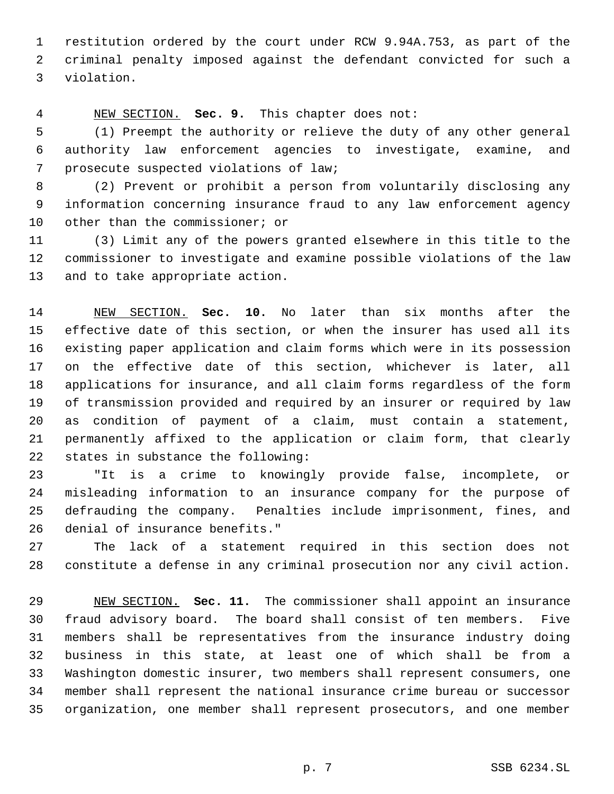restitution ordered by the court under RCW 9.94A.753, as part of the criminal penalty imposed against the defendant convicted for such a violation.

NEW SECTION. **Sec. 9.** This chapter does not:

 (1) Preempt the authority or relieve the duty of any other general authority law enforcement agencies to investigate, examine, and prosecute suspected violations of law;

 (2) Prevent or prohibit a person from voluntarily disclosing any information concerning insurance fraud to any law enforcement agency other than the commissioner; or

 (3) Limit any of the powers granted elsewhere in this title to the commissioner to investigate and examine possible violations of the law and to take appropriate action.

 NEW SECTION. **Sec. 10.** No later than six months after the effective date of this section, or when the insurer has used all its existing paper application and claim forms which were in its possession on the effective date of this section, whichever is later, all applications for insurance, and all claim forms regardless of the form of transmission provided and required by an insurer or required by law as condition of payment of a claim, must contain a statement, permanently affixed to the application or claim form, that clearly states in substance the following:

 "It is a crime to knowingly provide false, incomplete, or misleading information to an insurance company for the purpose of defrauding the company. Penalties include imprisonment, fines, and denial of insurance benefits."

 The lack of a statement required in this section does not constitute a defense in any criminal prosecution nor any civil action.

 NEW SECTION. **Sec. 11.** The commissioner shall appoint an insurance fraud advisory board. The board shall consist of ten members. Five members shall be representatives from the insurance industry doing business in this state, at least one of which shall be from a Washington domestic insurer, two members shall represent consumers, one member shall represent the national insurance crime bureau or successor organization, one member shall represent prosecutors, and one member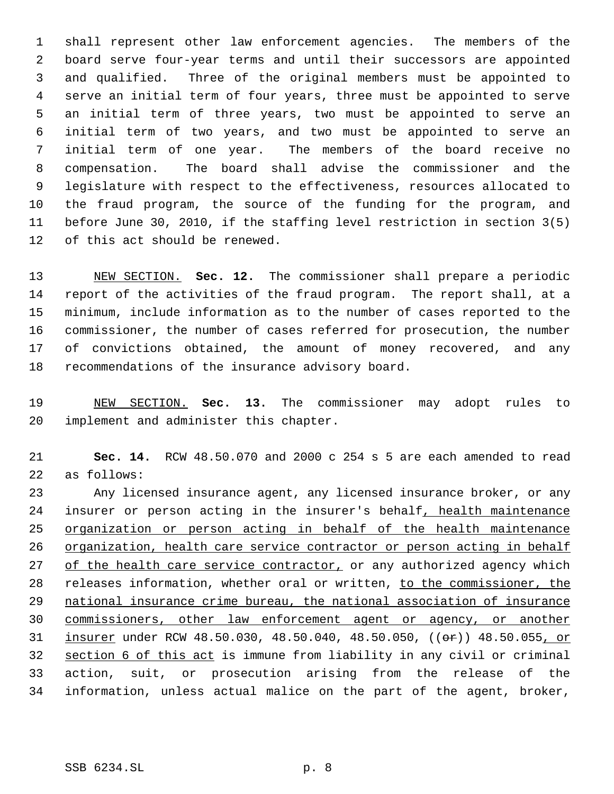shall represent other law enforcement agencies. The members of the board serve four-year terms and until their successors are appointed and qualified. Three of the original members must be appointed to serve an initial term of four years, three must be appointed to serve an initial term of three years, two must be appointed to serve an initial term of two years, and two must be appointed to serve an initial term of one year. The members of the board receive no compensation. The board shall advise the commissioner and the legislature with respect to the effectiveness, resources allocated to the fraud program, the source of the funding for the program, and before June 30, 2010, if the staffing level restriction in section 3(5) of this act should be renewed.

 NEW SECTION. **Sec. 12.** The commissioner shall prepare a periodic report of the activities of the fraud program. The report shall, at a minimum, include information as to the number of cases reported to the commissioner, the number of cases referred for prosecution, the number of convictions obtained, the amount of money recovered, and any recommendations of the insurance advisory board.

 NEW SECTION. **Sec. 13.** The commissioner may adopt rules to implement and administer this chapter.

 **Sec. 14.** RCW 48.50.070 and 2000 c 254 s 5 are each amended to read as follows:

 Any licensed insurance agent, any licensed insurance broker, or any 24 insurer or person acting in the insurer's behalf, health maintenance organization or person acting in behalf of the health maintenance organization, health care service contractor or person acting in behalf 27 of the health care service contractor, or any authorized agency which 28 releases information, whether oral or written, to the commissioner, the national insurance crime bureau, the national association of insurance commissioners, other law enforcement agent or agency, or another 31 insurer under RCW 48.50.030, 48.50.040, 48.50.050, ((or)) 48.50.055, or section 6 of this act is immune from liability in any civil or criminal action, suit, or prosecution arising from the release of the information, unless actual malice on the part of the agent, broker,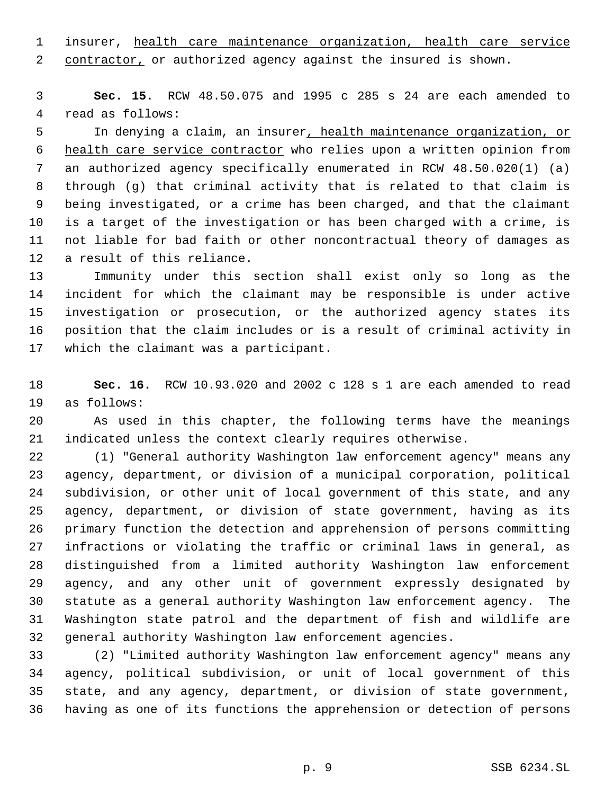1 insurer, health care maintenance organization, health care service 2 contractor, or authorized agency against the insured is shown.

 **Sec. 15.** RCW 48.50.075 and 1995 c 285 s 24 are each amended to read as follows:

 In denying a claim, an insurer, health maintenance organization, or health care service contractor who relies upon a written opinion from an authorized agency specifically enumerated in RCW 48.50.020(1) (a) through (g) that criminal activity that is related to that claim is being investigated, or a crime has been charged, and that the claimant is a target of the investigation or has been charged with a crime, is not liable for bad faith or other noncontractual theory of damages as a result of this reliance.

 Immunity under this section shall exist only so long as the incident for which the claimant may be responsible is under active investigation or prosecution, or the authorized agency states its position that the claim includes or is a result of criminal activity in which the claimant was a participant.

 **Sec. 16.** RCW 10.93.020 and 2002 c 128 s 1 are each amended to read as follows:

 As used in this chapter, the following terms have the meanings indicated unless the context clearly requires otherwise.

 (1) "General authority Washington law enforcement agency" means any agency, department, or division of a municipal corporation, political subdivision, or other unit of local government of this state, and any agency, department, or division of state government, having as its primary function the detection and apprehension of persons committing infractions or violating the traffic or criminal laws in general, as distinguished from a limited authority Washington law enforcement agency, and any other unit of government expressly designated by statute as a general authority Washington law enforcement agency. The Washington state patrol and the department of fish and wildlife are general authority Washington law enforcement agencies.

 (2) "Limited authority Washington law enforcement agency" means any agency, political subdivision, or unit of local government of this state, and any agency, department, or division of state government, having as one of its functions the apprehension or detection of persons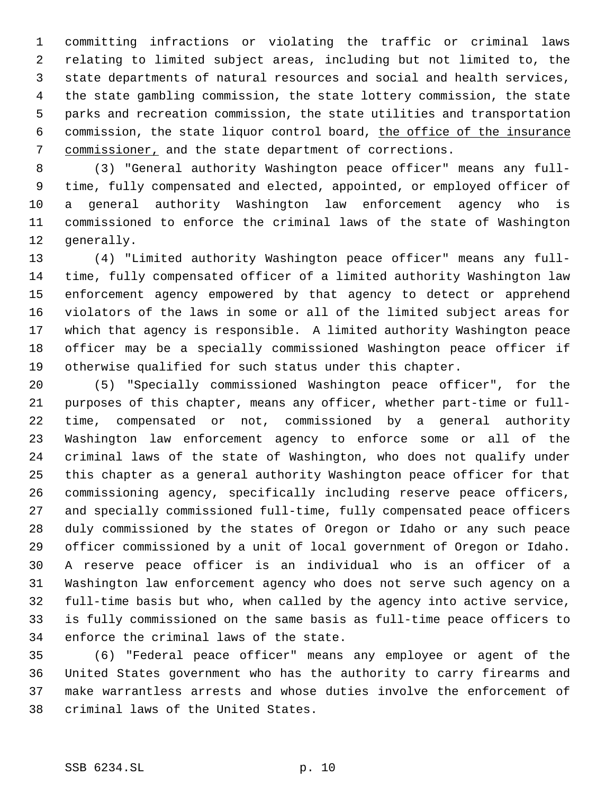committing infractions or violating the traffic or criminal laws relating to limited subject areas, including but not limited to, the state departments of natural resources and social and health services, the state gambling commission, the state lottery commission, the state parks and recreation commission, the state utilities and transportation commission, the state liquor control board, the office of the insurance commissioner, and the state department of corrections.

 (3) "General authority Washington peace officer" means any full- time, fully compensated and elected, appointed, or employed officer of a general authority Washington law enforcement agency who is commissioned to enforce the criminal laws of the state of Washington generally.

 (4) "Limited authority Washington peace officer" means any full- time, fully compensated officer of a limited authority Washington law enforcement agency empowered by that agency to detect or apprehend violators of the laws in some or all of the limited subject areas for which that agency is responsible. A limited authority Washington peace officer may be a specially commissioned Washington peace officer if otherwise qualified for such status under this chapter.

 (5) "Specially commissioned Washington peace officer", for the purposes of this chapter, means any officer, whether part-time or full- time, compensated or not, commissioned by a general authority Washington law enforcement agency to enforce some or all of the criminal laws of the state of Washington, who does not qualify under this chapter as a general authority Washington peace officer for that commissioning agency, specifically including reserve peace officers, and specially commissioned full-time, fully compensated peace officers duly commissioned by the states of Oregon or Idaho or any such peace officer commissioned by a unit of local government of Oregon or Idaho. A reserve peace officer is an individual who is an officer of a Washington law enforcement agency who does not serve such agency on a full-time basis but who, when called by the agency into active service, is fully commissioned on the same basis as full-time peace officers to enforce the criminal laws of the state.

 (6) "Federal peace officer" means any employee or agent of the United States government who has the authority to carry firearms and make warrantless arrests and whose duties involve the enforcement of criminal laws of the United States.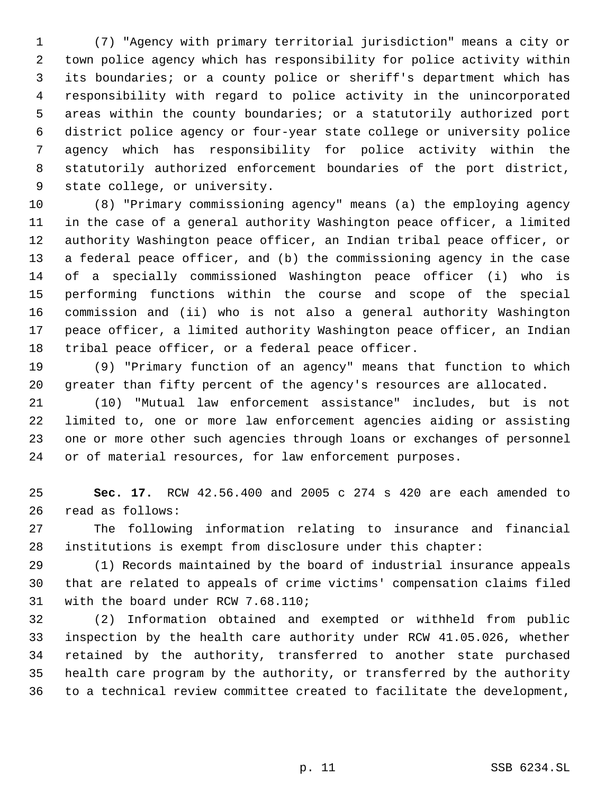(7) "Agency with primary territorial jurisdiction" means a city or town police agency which has responsibility for police activity within its boundaries; or a county police or sheriff's department which has responsibility with regard to police activity in the unincorporated areas within the county boundaries; or a statutorily authorized port district police agency or four-year state college or university police agency which has responsibility for police activity within the statutorily authorized enforcement boundaries of the port district, state college, or university.

 (8) "Primary commissioning agency" means (a) the employing agency in the case of a general authority Washington peace officer, a limited authority Washington peace officer, an Indian tribal peace officer, or a federal peace officer, and (b) the commissioning agency in the case of a specially commissioned Washington peace officer (i) who is performing functions within the course and scope of the special commission and (ii) who is not also a general authority Washington peace officer, a limited authority Washington peace officer, an Indian tribal peace officer, or a federal peace officer.

 (9) "Primary function of an agency" means that function to which greater than fifty percent of the agency's resources are allocated.

 (10) "Mutual law enforcement assistance" includes, but is not limited to, one or more law enforcement agencies aiding or assisting one or more other such agencies through loans or exchanges of personnel or of material resources, for law enforcement purposes.

 **Sec. 17.** RCW 42.56.400 and 2005 c 274 s 420 are each amended to read as follows:

 The following information relating to insurance and financial institutions is exempt from disclosure under this chapter:

 (1) Records maintained by the board of industrial insurance appeals that are related to appeals of crime victims' compensation claims filed with the board under RCW 7.68.110;

 (2) Information obtained and exempted or withheld from public inspection by the health care authority under RCW 41.05.026, whether retained by the authority, transferred to another state purchased health care program by the authority, or transferred by the authority to a technical review committee created to facilitate the development,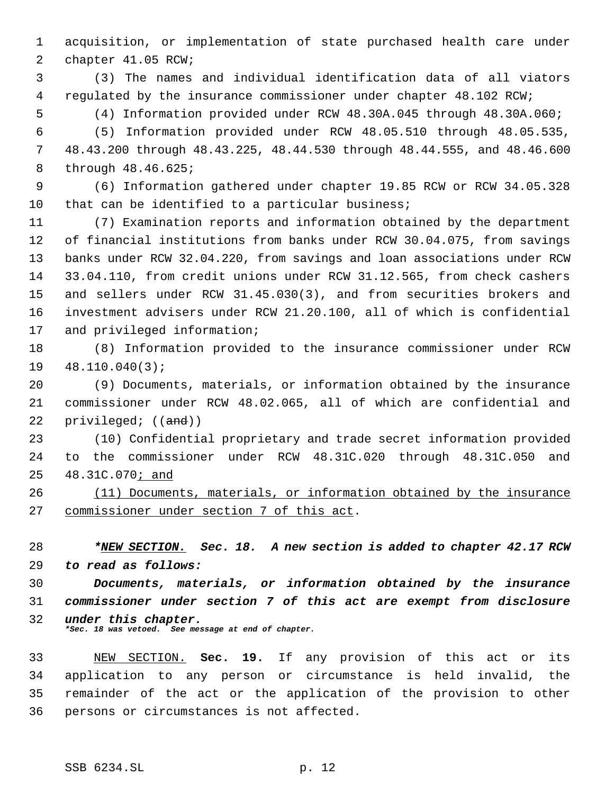acquisition, or implementation of state purchased health care under chapter 41.05 RCW;

 (3) The names and individual identification data of all viators regulated by the insurance commissioner under chapter 48.102 RCW;

(4) Information provided under RCW 48.30A.045 through 48.30A.060;

 (5) Information provided under RCW 48.05.510 through 48.05.535, 48.43.200 through 48.43.225, 48.44.530 through 48.44.555, and 48.46.600 through 48.46.625;

 (6) Information gathered under chapter 19.85 RCW or RCW 34.05.328 that can be identified to a particular business;

 (7) Examination reports and information obtained by the department of financial institutions from banks under RCW 30.04.075, from savings banks under RCW 32.04.220, from savings and loan associations under RCW 33.04.110, from credit unions under RCW 31.12.565, from check cashers and sellers under RCW 31.45.030(3), and from securities brokers and investment advisers under RCW 21.20.100, all of which is confidential and privileged information;

 (8) Information provided to the insurance commissioner under RCW 48.110.040(3);

 (9) Documents, materials, or information obtained by the insurance commissioner under RCW 48.02.065, all of which are confidential and 22 privileged; ((and))

 (10) Confidential proprietary and trade secret information provided to the commissioner under RCW 48.31C.020 through 48.31C.050 and 48.31C.070; and

 (11) Documents, materials, or information obtained by the insurance commissioner under section 7 of this act.

 *\*NEW SECTION. Sec. 18. A new section is added to chapter 42.17 RCW to read as follows:*

 *Documents, materials, or information obtained by the insurance commissioner under section 7 of this act are exempt from disclosure under this chapter. \*Sec. 18 was vetoed. See message at end of chapter.*

 NEW SECTION. **Sec. 19.** If any provision of this act or its application to any person or circumstance is held invalid, the remainder of the act or the application of the provision to other persons or circumstances is not affected.